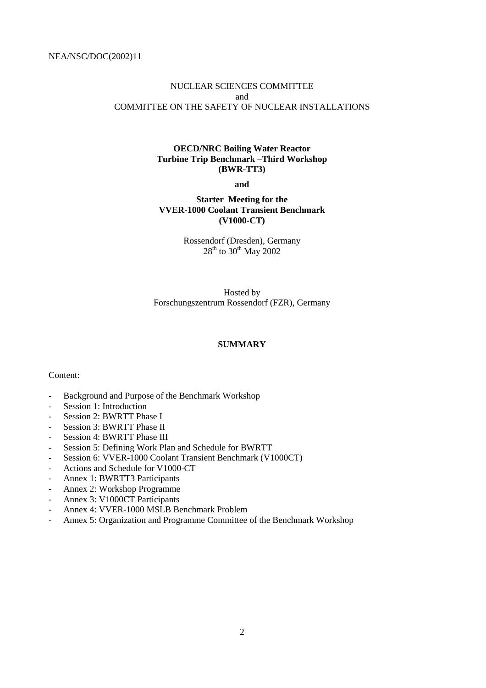## NUCLEAR SCIENCES COMMITTEE and COMMITTEE ON THE SAFETY OF NUCLEAR INSTALLATIONS

#### **OECD/NRC Boiling Water Reactor Turbine Trip Benchmark –Third Workshop (BWR-TT3)**

**and**

## **Starter Meeting for the VVER-1000 Coolant Transient Benchmark (V1000-CT)**

Rossendorf (Dresden), Germany  $28^{th}$  to  $30^{th}$  May  $2002$ 

Hosted by Forschungszentrum Rossendorf (FZR), Germany

## **SUMMARY**

#### Content:

- Background and Purpose of the Benchmark Workshop
- Session 1: Introduction
- Session 2: BWRTT Phase I
- Session 3: BWRTT Phase II
- Session 4: BWRTT Phase III
- Session 5: Defining Work Plan and Schedule for BWRTT
- Session 6: VVER-1000 Coolant Transient Benchmark (V1000CT)
- Actions and Schedule for V1000-CT
- Annex 1: BWRTT3 Participants
- Annex 2: Workshop Programme
- Annex 3: V1000CT Participants
- Annex 4: VVER-1000 MSLB Benchmark Problem
- Annex 5: Organization and Programme Committee of the Benchmark Workshop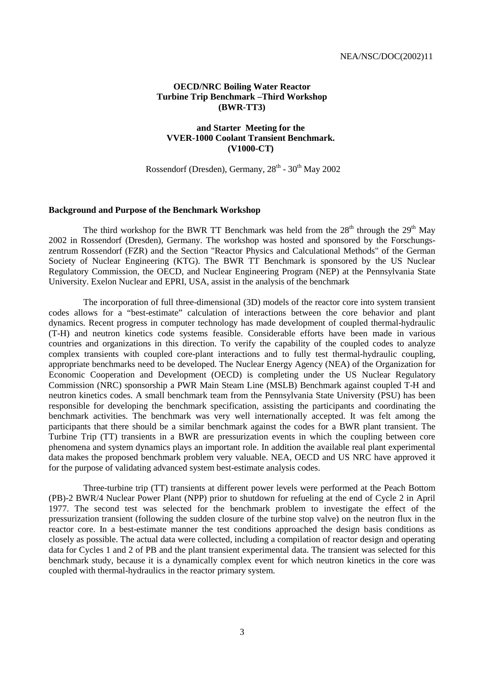#### **OECD/NRC Boiling Water Reactor Turbine Trip Benchmark –Third Workshop (BWR-TT3)**

## **and Starter Meeting for the VVER-1000 Coolant Transient Benchmark. (V1000-CT)**

Rossendorf (Dresden), Germany,  $28<sup>th</sup>$  -  $30<sup>th</sup>$  May 2002

#### **Background and Purpose of the Benchmark Workshop**

The third workshop for the BWR TT Benchmark was held from the  $28<sup>th</sup>$  through the  $29<sup>th</sup>$  May 2002 in Rossendorf (Dresden), Germany. The workshop was hosted and sponsored by the Forschungszentrum Rossendorf (FZR) and the Section "Reactor Physics and Calculational Methods" of the German Society of Nuclear Engineering (KTG). The BWR TT Benchmark is sponsored by the US Nuclear Regulatory Commission, the OECD, and Nuclear Engineering Program (NEP) at the Pennsylvania State University. Exelon Nuclear and EPRI, USA, assist in the analysis of the benchmark

The incorporation of full three-dimensional (3D) models of the reactor core into system transient codes allows for a "best-estimate" calculation of interactions between the core behavior and plant dynamics. Recent progress in computer technology has made development of coupled thermal-hydraulic (T-H) and neutron kinetics code systems feasible. Considerable efforts have been made in various countries and organizations in this direction. To verify the capability of the coupled codes to analyze complex transients with coupled core-plant interactions and to fully test thermal-hydraulic coupling, appropriate benchmarks need to be developed. The Nuclear Energy Agency (NEA) of the Organization for Economic Cooperation and Development (OECD) is completing under the US Nuclear Regulatory Commission (NRC) sponsorship a PWR Main Steam Line (MSLB) Benchmark against coupled T-H and neutron kinetics codes. A small benchmark team from the Pennsylvania State University (PSU) has been responsible for developing the benchmark specification, assisting the participants and coordinating the benchmark activities. The benchmark was very well internationally accepted. It was felt among the participants that there should be a similar benchmark against the codes for a BWR plant transient. The Turbine Trip (TT) transients in a BWR are pressurization events in which the coupling between core phenomena and system dynamics plays an important role. In addition the available real plant experimental data makes the proposed benchmark problem very valuable. NEA, OECD and US NRC have approved it for the purpose of validating advanced system best-estimate analysis codes.

Three-turbine trip (TT) transients at different power levels were performed at the Peach Bottom (PB)-2 BWR/4 Nuclear Power Plant (NPP) prior to shutdown for refueling at the end of Cycle 2 in April 1977. The second test was selected for the benchmark problem to investigate the effect of the pressurization transient (following the sudden closure of the turbine stop valve) on the neutron flux in the reactor core. In a best-estimate manner the test conditions approached the design basis conditions as closely as possible. The actual data were collected, including a compilation of reactor design and operating data for Cycles 1 and 2 of PB and the plant transient experimental data. The transient was selected for this benchmark study, because it is a dynamically complex event for which neutron kinetics in the core was coupled with thermal-hydraulics in the reactor primary system.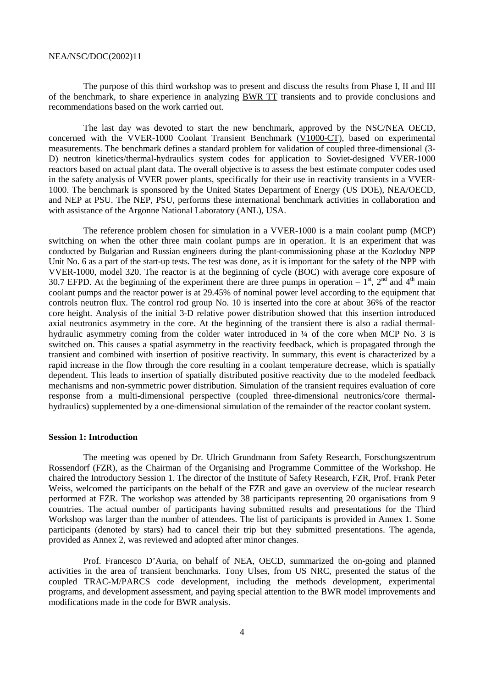The purpose of this third workshop was to present and discuss the results from Phase I, II and III of the benchmark, to share experience in analyzing BWR TT transients and to provide conclusions and recommendations based on the work carried out.

The last day was devoted to start the new benchmark, approved by the NSC/NEA OECD, concerned with the VVER-1000 Coolant Transient Benchmark (V1000-CT), based on experimental measurements. The benchmark defines a standard problem for validation of coupled three-dimensional (3- D) neutron kinetics/thermal-hydraulics system codes for application to Soviet-designed VVER-1000 reactors based on actual plant data. The overall objective is to assess the best estimate computer codes used in the safety analysis of VVER power plants, specifically for their use in reactivity transients in a VVER-1000. The benchmark is sponsored by the United States Department of Energy (US DOE), NEA/OECD, and NEP at PSU. The NEP, PSU, performs these international benchmark activities in collaboration and with assistance of the Argonne National Laboratory (ANL), USA.

The reference problem chosen for simulation in a VVER-1000 is a main coolant pump (MCP) switching on when the other three main coolant pumps are in operation. It is an experiment that was conducted by Bulgarian and Russian engineers during the plant-commissioning phase at the Kozloduy NPP Unit No. 6 as a part of the start-up tests. The test was done, as it is important for the safety of the NPP with VVER-1000, model 320. The reactor is at the beginning of cycle (BOC) with average core exposure of 30.7 EFPD. At the beginning of the experiment there are three pumps in operation –  $1<sup>st</sup>$ ,  $2<sup>nd</sup>$  and  $4<sup>th</sup>$  main coolant pumps and the reactor power is at 29.45% of nominal power level according to the equipment that controls neutron flux. The control rod group No. 10 is inserted into the core at about 36% of the reactor core height. Analysis of the initial 3-D relative power distribution showed that this insertion introduced axial neutronics asymmetry in the core. At the beginning of the transient there is also a radial thermalhydraulic asymmetry coming from the colder water introduced in ¼ of the core when MCP No. 3 is switched on. This causes a spatial asymmetry in the reactivity feedback, which is propagated through the transient and combined with insertion of positive reactivity. In summary, this event is characterized by a rapid increase in the flow through the core resulting in a coolant temperature decrease, which is spatially dependent. This leads to insertion of spatially distributed positive reactivity due to the modeled feedback mechanisms and non-symmetric power distribution. Simulation of the transient requires evaluation of core response from a multi-dimensional perspective (coupled three-dimensional neutronics/core thermalhydraulics) supplemented by a one-dimensional simulation of the remainder of the reactor coolant system.

#### **Session 1: Introduction**

The meeting was opened by Dr. Ulrich Grundmann from Safety Research, Forschungszentrum Rossendorf (FZR), as the Chairman of the Organising and Programme Committee of the Workshop. He chaired the Introductory Session 1. The director of the Institute of Safety Research, FZR, Prof. Frank Peter Weiss, welcomed the participants on the behalf of the FZR and gave an overview of the nuclear research performed at FZR. The workshop was attended by 38 participants representing 20 organisations from 9 countries. The actual number of participants having submitted results and presentations for the Third Workshop was larger than the number of attendees. The list of participants is provided in Annex 1. Some participants (denoted by stars) had to cancel their trip but they submitted presentations. The agenda, provided as Annex 2, was reviewed and adopted after minor changes.

Prof. Francesco D'Auria, on behalf of NEA, OECD, summarized the on-going and planned activities in the area of transient benchmarks. Tony Ulses, from US NRC, presented the status of the coupled TRAC-M/PARCS code development, including the methods development, experimental programs, and development assessment, and paying special attention to the BWR model improvements and modifications made in the code for BWR analysis.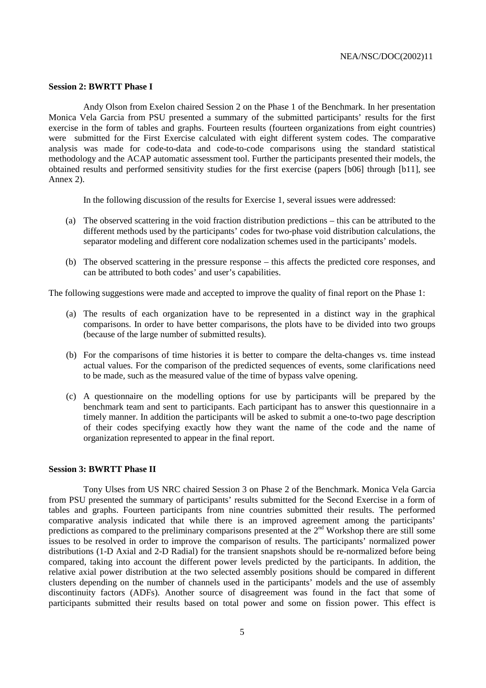#### **Session 2: BWRTT Phase I**

Andy Olson from Exelon chaired Session 2 on the Phase 1 of the Benchmark. In her presentation Monica Vela Garcia from PSU presented a summary of the submitted participants' results for the first exercise in the form of tables and graphs. Fourteen results (fourteen organizations from eight countries) were submitted for the First Exercise calculated with eight different system codes. The comparative analysis was made for code-to-data and code-to-code comparisons using the standard statistical methodology and the ACAP automatic assessment tool. Further the participants presented their models, the obtained results and performed sensitivity studies for the first exercise (papers [b06] through [b11], see Annex 2).

In the following discussion of the results for Exercise 1, several issues were addressed:

- (a) The observed scattering in the void fraction distribution predictions this can be attributed to the different methods used by the participants' codes for two-phase void distribution calculations, the separator modeling and different core nodalization schemes used in the participants' models.
- (b) The observed scattering in the pressure response this affects the predicted core responses, and can be attributed to both codes' and user's capabilities.

The following suggestions were made and accepted to improve the quality of final report on the Phase 1:

- (a) The results of each organization have to be represented in a distinct way in the graphical comparisons. In order to have better comparisons, the plots have to be divided into two groups (because of the large number of submitted results).
- (b) For the comparisons of time histories it is better to compare the delta-changes vs. time instead actual values. For the comparison of the predicted sequences of events, some clarifications need to be made, such as the measured value of the time of bypass valve opening.
- (c) A questionnaire on the modelling options for use by participants will be prepared by the benchmark team and sent to participants. Each participant has to answer this questionnaire in a timely manner. In addition the participants will be asked to submit a one-to-two page description of their codes specifying exactly how they want the name of the code and the name of organization represented to appear in the final report.

#### **Session 3: BWRTT Phase II**

Tony Ulses from US NRC chaired Session 3 on Phase 2 of the Benchmark. Monica Vela Garcia from PSU presented the summary of participants' results submitted for the Second Exercise in a form of tables and graphs. Fourteen participants from nine countries submitted their results. The performed comparative analysis indicated that while there is an improved agreement among the participants' predictions as compared to the preliminary comparisons presented at the  $2<sup>nd</sup>$  Workshop there are still some issues to be resolved in order to improve the comparison of results. The participants' normalized power distributions (1-D Axial and 2-D Radial) for the transient snapshots should be re-normalized before being compared, taking into account the different power levels predicted by the participants. In addition, the relative axial power distribution at the two selected assembly positions should be compared in different clusters depending on the number of channels used in the participants' models and the use of assembly discontinuity factors (ADFs). Another source of disagreement was found in the fact that some of participants submitted their results based on total power and some on fission power. This effect is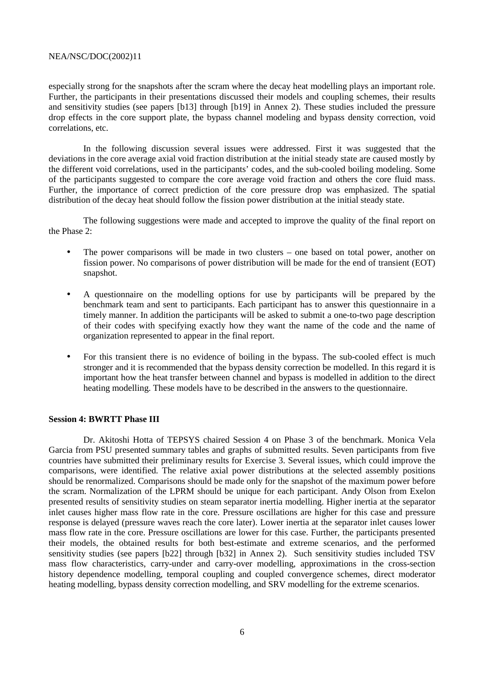especially strong for the snapshots after the scram where the decay heat modelling plays an important role. Further, the participants in their presentations discussed their models and coupling schemes, their results and sensitivity studies (see papers [b13] through [b19] in Annex 2). These studies included the pressure drop effects in the core support plate, the bypass channel modeling and bypass density correction, void correlations, etc.

In the following discussion several issues were addressed. First it was suggested that the deviations in the core average axial void fraction distribution at the initial steady state are caused mostly by the different void correlations, used in the participants' codes, and the sub-cooled boiling modeling. Some of the participants suggested to compare the core average void fraction and others the core fluid mass. Further, the importance of correct prediction of the core pressure drop was emphasized. The spatial distribution of the decay heat should follow the fission power distribution at the initial steady state.

The following suggestions were made and accepted to improve the quality of the final report on the Phase 2:

- The power comparisons will be made in two clusters one based on total power, another on fission power. No comparisons of power distribution will be made for the end of transient (EOT) snapshot.
- A questionnaire on the modelling options for use by participants will be prepared by the benchmark team and sent to participants. Each participant has to answer this questionnaire in a timely manner. In addition the participants will be asked to submit a one-to-two page description of their codes with specifying exactly how they want the name of the code and the name of organization represented to appear in the final report.
- For this transient there is no evidence of boiling in the bypass. The sub-cooled effect is much stronger and it is recommended that the bypass density correction be modelled. In this regard it is important how the heat transfer between channel and bypass is modelled in addition to the direct heating modelling. These models have to be described in the answers to the questionnaire.

#### **Session 4: BWRTT Phase III**

Dr. Akitoshi Hotta of TEPSYS chaired Session 4 on Phase 3 of the benchmark. Monica Vela Garcia from PSU presented summary tables and graphs of submitted results. Seven participants from five countries have submitted their preliminary results for Exercise 3. Several issues, which could improve the comparisons, were identified. The relative axial power distributions at the selected assembly positions should be renormalized. Comparisons should be made only for the snapshot of the maximum power before the scram. Normalization of the LPRM should be unique for each participant. Andy Olson from Exelon presented results of sensitivity studies on steam separator inertia modelling. Higher inertia at the separator inlet causes higher mass flow rate in the core. Pressure oscillations are higher for this case and pressure response is delayed (pressure waves reach the core later). Lower inertia at the separator inlet causes lower mass flow rate in the core. Pressure oscillations are lower for this case. Further, the participants presented their models, the obtained results for both best-estimate and extreme scenarios, and the performed sensitivity studies (see papers [b22] through [b32] in Annex 2). Such sensitivity studies included TSV mass flow characteristics, carry-under and carry-over modelling, approximations in the cross-section history dependence modelling, temporal coupling and coupled convergence schemes, direct moderator heating modelling, bypass density correction modelling, and SRV modelling for the extreme scenarios.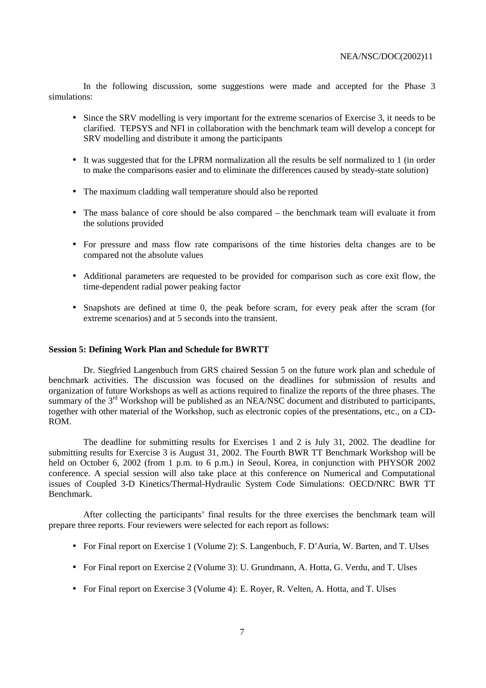In the following discussion, some suggestions were made and accepted for the Phase 3 simulations:

- Since the SRV modelling is very important for the extreme scenarios of Exercise 3, it needs to be clarified. TEPSYS and NFI in collaboration with the benchmark team will develop a concept for SRV modelling and distribute it among the participants
- It was suggested that for the LPRM normalization all the results be self normalized to 1 (in order to make the comparisons easier and to eliminate the differences caused by steady-state solution)
- The maximum cladding wall temperature should also be reported
- The mass balance of core should be also compared the benchmark team will evaluate it from the solutions provided
- For pressure and mass flow rate comparisons of the time histories delta changes are to be compared not the absolute values
- Additional parameters are requested to be provided for comparison such as core exit flow, the time-dependent radial power peaking factor
- Snapshots are defined at time 0, the peak before scram, for every peak after the scram (for extreme scenarios) and at 5 seconds into the transient.

#### **Session 5: Defining Work Plan and Schedule for BWRTT**

Dr. Siegfried Langenbuch from GRS chaired Session 5 on the future work plan and schedule of benchmark activities. The discussion was focused on the deadlines for submission of results and organization of future Workshops as well as actions required to finalize the reports of the three phases. The summary of the 3<sup>rd</sup> Workshop will be published as an NEA/NSC document and distributed to participants, together with other material of the Workshop, such as electronic copies of the presentations, etc., on a CD-ROM.

The deadline for submitting results for Exercises 1 and 2 is July 31, 2002. The deadline for submitting results for Exercise 3 is August 31, 2002. The Fourth BWR TT Benchmark Workshop will be held on October 6, 2002 (from 1 p.m. to 6 p.m.) in Seoul, Korea, in conjunction with PHYSOR 2002 conference. A special session will also take place at this conference on Numerical and Computational issues of Coupled 3-D Kinetics/Thermal-Hydraulic System Code Simulations: OECD/NRC BWR TT Benchmark.

After collecting the participants' final results for the three exercises the benchmark team will prepare three reports. Four reviewers were selected for each report as follows:

- For Final report on Exercise 1 (Volume 2): S. Langenbuch, F. D'Auria, W. Barten, and T. Ulses
- For Final report on Exercise 2 (Volume 3): U. Grundmann, A. Hotta, G. Verdu, and T. Ulses
- For Final report on Exercise 3 (Volume 4): E. Royer, R. Velten, A. Hotta, and T. Ulses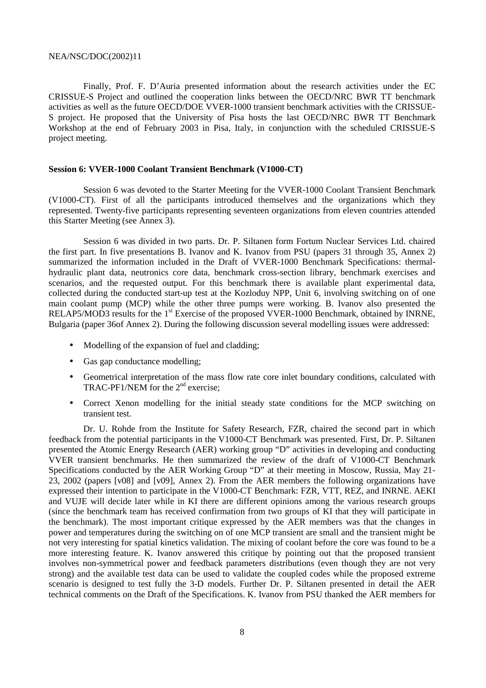Finally, Prof. F. D'Auria presented information about the research activities under the EC CRISSUE-S Project and outlined the cooperation links between the OECD/NRC BWR TT benchmark activities as well as the future OECD/DOE VVER-1000 transient benchmark activities with the CRISSUE-S project. He proposed that the University of Pisa hosts the last OECD/NRC BWR TT Benchmark Workshop at the end of February 2003 in Pisa, Italy, in conjunction with the scheduled CRISSUE-S project meeting.

#### **Session 6: VVER-1000 Coolant Transient Benchmark (V1000-CT)**

Session 6 was devoted to the Starter Meeting for the VVER-1000 Coolant Transient Benchmark (V1000-CT). First of all the participants introduced themselves and the organizations which they represented. Twenty-five participants representing seventeen organizations from eleven countries attended this Starter Meeting (see Annex 3).

Session 6 was divided in two parts. Dr. P. Siltanen form Fortum Nuclear Services Ltd. chaired the first part. In five presentations B. Ivanov and K. Ivanov from PSU (papers 31 through 35, Annex 2) summarized the information included in the Draft of VVER-1000 Benchmark Specifications: thermalhydraulic plant data, neutronics core data, benchmark cross-section library, benchmark exercises and scenarios, and the requested output. For this benchmark there is available plant experimental data, collected during the conducted start-up test at the Kozloduy NPP, Unit 6, involving switching on of one main coolant pump (MCP) while the other three pumps were working. B. Ivanov also presented the RELAP5/MOD3 results for the 1<sup>st</sup> Exercise of the proposed VVER-1000 Benchmark, obtained by INRNE, Bulgaria (paper 36of Annex 2). During the following discussion several modelling issues were addressed:

- Modelling of the expansion of fuel and cladding;
- Gas gap conductance modelling;
- Geometrical interpretation of the mass flow rate core inlet boundary conditions, calculated with TRAC-PF1/NEM for the 2<sup>nd</sup> exercise:
- Correct Xenon modelling for the initial steady state conditions for the MCP switching on transient test.

Dr. U. Rohde from the Institute for Safety Research, FZR, chaired the second part in which feedback from the potential participants in the V1000-CT Benchmark was presented. First, Dr. P. Siltanen presented the Atomic Energy Research (AER) working group "D" activities in developing and conducting VVER transient benchmarks. He then summarized the review of the draft of V1000-CT Benchmark Specifications conducted by the AER Working Group "D" at their meeting in Moscow, Russia, May 21- 23, 2002 (papers [v08] and [v09], Annex 2). From the AER members the following organizations have expressed their intention to participate in the V1000-CT Benchmark: FZR, VTT, REZ, and INRNE. AEKI and VUJE will decide later while in KI there are different opinions among the various research groups (since the benchmark team has received confirmation from two groups of KI that they will participate in the benchmark). The most important critique expressed by the AER members was that the changes in power and temperatures during the switching on of one MCP transient are small and the transient might be not very interesting for spatial kinetics validation. The mixing of coolant before the core was found to be a more interesting feature. K. Ivanov answered this critique by pointing out that the proposed transient involves non-symmetrical power and feedback parameters distributions (even though they are not very strong) and the available test data can be used to validate the coupled codes while the proposed extreme scenario is designed to test fully the 3-D models. Further Dr. P. Siltanen presented in detail the AER technical comments on the Draft of the Specifications. K. Ivanov from PSU thanked the AER members for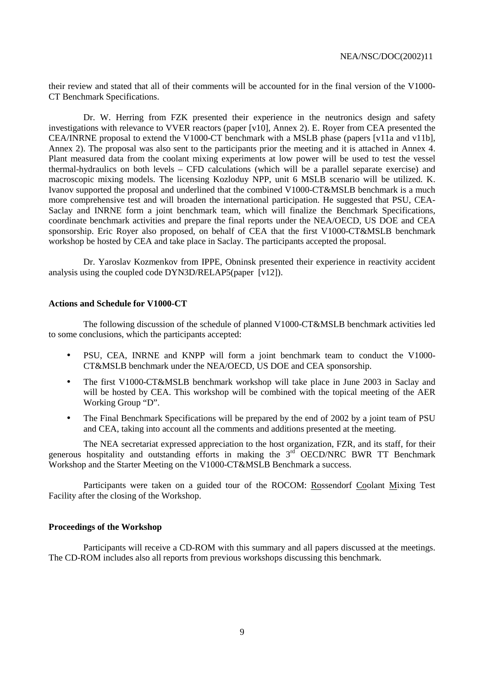their review and stated that all of their comments will be accounted for in the final version of the V1000- CT Benchmark Specifications.

Dr. W. Herring from FZK presented their experience in the neutronics design and safety investigations with relevance to VVER reactors (paper [v10], Annex 2). E. Royer from CEA presented the CEA/INRNE proposal to extend the V1000-CT benchmark with a MSLB phase (papers [v11a and v11b], Annex 2). The proposal was also sent to the participants prior the meeting and it is attached in Annex 4. Plant measured data from the coolant mixing experiments at low power will be used to test the vessel thermal-hydraulics on both levels – CFD calculations (which will be a parallel separate exercise) and macroscopic mixing models. The licensing Kozloduy NPP, unit 6 MSLB scenario will be utilized. K. Ivanov supported the proposal and underlined that the combined V1000-CT&MSLB benchmark is a much more comprehensive test and will broaden the international participation. He suggested that PSU, CEA-Saclay and INRNE form a joint benchmark team, which will finalize the Benchmark Specifications, coordinate benchmark activities and prepare the final reports under the NEA/OECD, US DOE and CEA sponsorship. Eric Royer also proposed, on behalf of CEA that the first V1000-CT&MSLB benchmark workshop be hosted by CEA and take place in Saclay. The participants accepted the proposal.

Dr. Yaroslav Kozmenkov from IPPE, Obninsk presented their experience in reactivity accident analysis using the coupled code DYN3D/RELAP5(paper [v12]).

#### **Actions and Schedule for V1000-CT**

The following discussion of the schedule of planned V1000-CT&MSLB benchmark activities led to some conclusions, which the participants accepted:

- PSU, CEA, INRNE and KNPP will form a joint benchmark team to conduct the V1000-CT&MSLB benchmark under the NEA/OECD, US DOE and CEA sponsorship.
- The first V1000-CT&MSLB benchmark workshop will take place in June 2003 in Saclay and will be hosted by CEA. This workshop will be combined with the topical meeting of the AER Working Group "D".
- The Final Benchmark Specifications will be prepared by the end of 2002 by a joint team of PSU and CEA, taking into account all the comments and additions presented at the meeting.

The NEA secretariat expressed appreciation to the host organization, FZR, and its staff, for their generous hospitality and outstanding efforts in making the  $3<sup>rd</sup>$  OECD/NRC BWR TT Benchmark Workshop and the Starter Meeting on the V1000-CT&MSLB Benchmark a success.

Participants were taken on a guided tour of the ROCOM: Rossendorf Coolant Mixing Test Facility after the closing of the Workshop.

#### **Proceedings of the Workshop**

Participants will receive a CD-ROM with this summary and all papers discussed at the meetings. The CD-ROM includes also all reports from previous workshops discussing this benchmark.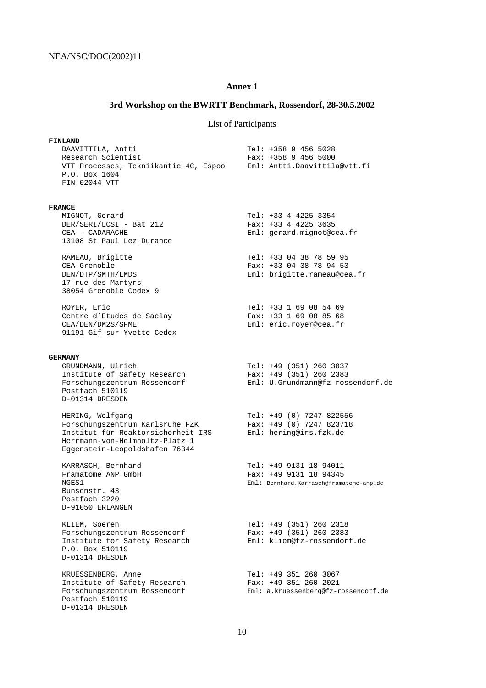## **Annex 1**

# **3rd Workshop on the BWRTT Benchmark, Rossendorf, 28-30.5.2002**

# List of Participants

| <b>FINLAND</b>                                                        |                                                        |
|-----------------------------------------------------------------------|--------------------------------------------------------|
| DAAVITTILA, Antti                                                     | Tel: +358 9 456 5028                                   |
| Research Scientist                                                    | Fax: $+358$ 9 456 5000                                 |
| VTT Processes, Tekniikantie 4C, Espoo                                 | Eml: Antti.Daavittila@vtt.fi                           |
| P.O. Box 1604                                                         |                                                        |
| FIN-02044 VTT                                                         |                                                        |
|                                                                       |                                                        |
| <b>FRANCE</b>                                                         |                                                        |
| MIGNOT, Gerard                                                        | $Tel: +33 4 4225 3354$                                 |
| DER/SERI/LCSI - Bat 212<br>CEA - CADARACHE                            | Fax: $+33$ 4 4225 3635<br>Eml: gerard.mignot@cea.fr    |
| 13108 St Paul Lez Durance                                             |                                                        |
|                                                                       |                                                        |
| RAMEAU, Brigitte                                                      | Tel: +33 04 38 78 59 95                                |
| CEA Grenoble                                                          | Fax: $+33$ 04 38 78 94 53                              |
| DEN/DTP/SMTH/LMDS                                                     | Eml: brigitte.rameau@cea.fr                            |
| 17 rue des Martyrs<br>38054 Grenoble Cedex 9                          |                                                        |
|                                                                       |                                                        |
| ROYER, Eric                                                           | Tel: +33 1 69 08 54 69                                 |
| Centre d'Etudes de Saclay                                             | Fax: $+33$ 1 69 08 85 68                               |
| CEA/DEN/DM2S/SFME                                                     | Eml: eric.royer@cea.fr                                 |
| 91191 Gif-sur-Yvette Cedex                                            |                                                        |
|                                                                       |                                                        |
| <b>GERMANY</b>                                                        |                                                        |
| GRUNDMANN, Ulrich<br>Institute of Safety Research                     | Tel: $+49$ (351) 260 3037<br>Fax: $+49$ (351) 260 2383 |
| Forschungszentrum Rossendorf                                          | Eml: U.Grundmann@fz-rossendorf.de                      |
| Postfach 510119                                                       |                                                        |
| D-01314 DRESDEN                                                       |                                                        |
|                                                                       |                                                        |
| HERING, Wolfgang                                                      | Tel: +49 (0) 7247 822556                               |
| Forschungszentrum Karlsruhe FZK<br>Institut für Reaktorsicherheit IRS | Fax: $+49$ (0) 7247 823718<br>Eml: hering@irs.fzk.de   |
| Herrmann-von-Helmholtz-Platz 1                                        |                                                        |
| Eggenstein-Leopoldshafen 76344                                        |                                                        |
|                                                                       |                                                        |
| KARRASCH, Bernhard                                                    | Tel: +49 9131 18 94011                                 |
| Framatome ANP GmbH                                                    | Fax: +49 9131 18 94345                                 |
| NGES1                                                                 | Eml: Bernhard.Karrasch@framatome-anp.de                |
| Bunsenstr. 43<br>Postfach 3220                                        |                                                        |
| D-91050 ERLANGEN                                                      |                                                        |
|                                                                       |                                                        |
| KLIEM, Soeren                                                         | Tel: $+49$ (351) 260 2318                              |
| Forschungszentrum Rossendorf                                          | Fax: $+49$ (351) 260 2383                              |
| Institute for Safety Research                                         | Eml: kliem@fz-rossendorf.de                            |
| P.O. Box 510119                                                       |                                                        |
| D-01314 DRESDEN                                                       |                                                        |
| KRUESSENBERG, Anne                                                    | Tel: +49 351 260 3067                                  |
| Institute of Safety Research                                          | Fax: +49 351 260 2021                                  |
| Forschungszentrum Rossendorf                                          | Eml: a.kruessenberg@fz-rossendorf.de                   |
| Postfach 510119                                                       |                                                        |
| D-01314 DRESDEN                                                       |                                                        |
|                                                                       |                                                        |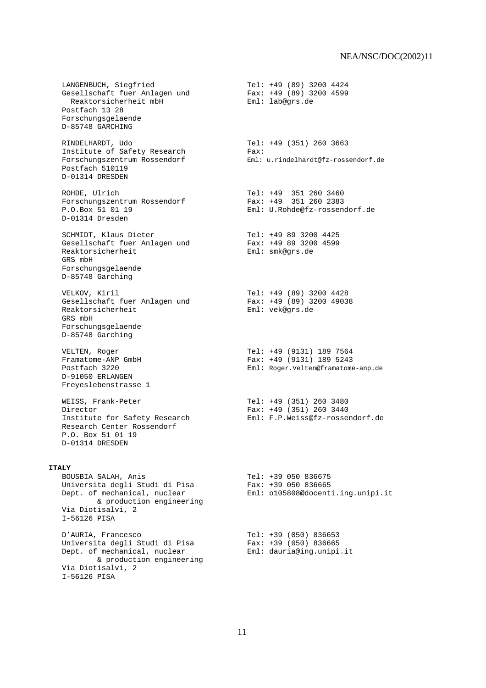LANGENBUCH, Siegfried<br>Gesellschaft fuer Anlagen und Tear: +49 (89) 3200 4599 Gesellschaft fuer Anlagen und Fax: +49 (89) 3<br>
Reaktorsicherheit mbH Fax: +49 (89) 3<br>
Faktorsicherheit mbH Eml: lab@grs.de Reaktorsicherheit mbH Postfach 13 28 Forschungsgelaende D-85748 GARCHING

 RINDELHARDT, Udo Tel: +49 (351) 260 3663 Institute of Safety Research Fax: Postfach 510119 D-01314 DRESDEN

Forschungszentrum Rossendorf<br>P.O.Box 51 01 19 D-01314 Dresden

SCHMIDT, Klaus Dieter<br>Gesellschaft fuer Anlagen und Tear: +49 89 3200 4599 Gesellschaft fuer Anlagen und Fax: +49 89 320<br>Reaktorsicherheit Eml: smk@grs.de Reaktorsicherheit GRS mbH Forschungsgelaende D-85748 Garching

Gesellschaft fuer Anlagen und<br>Reaktorsicherheit GRS mbH Forschungsgelaende D-85748 Garching

 D-91050 ERLANGEN Freyeslebenstrasse 1

 Director Fax: +49 (351) 260 3440 Research Center Rossendorf P.O. Box 51 01 19 D-01314 DRESDEN

#### **ITALY**

 Universita degli Studi di Pisa Fax: +39 050 836665 & production engineering Via Diotisalvi, 2 I-56126 PISA

 D'AURIA, Francesco Tel: +39 (050) 836653 Universita degli Studi di Pisa Fax: +39 (050) 836665 Dept. of mechanical, nuclear Eml: dauria@ing.unipi.it & production engineering Via Diotisalvi, 2 I-56126 PISA

 Forschungszentrum Rossendorf Eml: u.rindelhardt@fz-rossendorf.de ROHDE, Ulrich<br>Forschungszentrum Rossendorf (Fax: +49 351 260 2383 Eml: U.Rohde@fz-rossendorf.de VELKOV, Kiril Tel: +49 (89) 3200 4428 Eml: vek@grs.de VELTEN, Roger Tel: +49 (9131) 189 7564 Framatome-ANP GmbH **Fax: +49 (9131)** 189 5243 Postfach 3220 Eml: Roger.Velten@framatome-anp.de WEISS, Frank-Peter Tel: +49 (351) 260 3480 Institute for Safety Research Eml: F.P.Weiss@fz-rossendorf.de BOUSBIA SALAH, Anis Tel: +39 050 836675 Dept. of mechanical, nuclear Eml: o105808@docenti.ing.unipi.it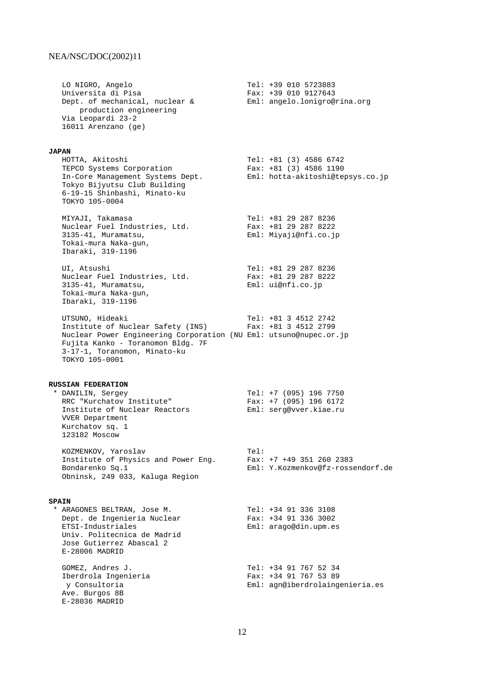E-28036 MADRID

| LO NIGRO, Angelo<br>Universita di Pisa<br>Dept. of mechanical, nuclear &<br>production engineering<br>Via Leopardi 23-2<br>16011 Arenzano (ge)                                                                   |      | Tel: +39 010 5723883<br>Fax: +39 010 9127643<br>Eml: angelo.lonigro@rina.org             |
|------------------------------------------------------------------------------------------------------------------------------------------------------------------------------------------------------------------|------|------------------------------------------------------------------------------------------|
| <b>JAPAN</b><br>HOTTA, Akitoshi<br>TEPCO Systems Corporation<br>In-Core Management Systems Dept.<br>Tokyo Bijyutsu Club Building<br>6-19-15 Shinbashi, Minato-ku<br>TOKYO 105-0004                               |      | Tel: $+81$ (3) 4586 6742<br>Fax: $+81$ (3) 4586 1190<br>Eml: hotta-akitoshi@tepsys.co.jp |
| MIYAJI, Takamasa<br>Nuclear Fuel Industries, Ltd.<br>3135-41, Muramatsu,<br>Tokai-mura Naka-gun,<br>Ibaraki, 319-1196                                                                                            |      | Tel: +81 29 287 8236<br>Fax: +81 29 287 8222<br>Eml: Miyaji@nfi.co.jp                    |
| UI, Atsushi<br>Nuclear Fuel Industries, Ltd.<br>3135-41, Muramatsu,<br>Tokai-mura Naka-gun,<br>Ibaraki, 319-1196                                                                                                 |      | Tel: +81 29 287 8236<br>Fax: $+81$ 29 287 8222<br>Eml: uienti.co.jp                      |
| UTSUNO, Hideaki<br>Institute of Nuclear Safety (INS)<br>Nuclear Power Engineering Corporation (NU Eml: utsuno@nupec.or.jp<br>Fujita Kanko - Toranomon Bldg. 7F<br>3-17-1, Toranomon, Minato-ku<br>TOKYO 105-0001 |      | Tel: $+81$ 3 4512 2742<br>Fax: $+81$ 3 4512 2799                                         |
| <b>RUSSIAN FEDERATION</b><br>* DANILIN, Sergey<br>RRC "Kurchatov Institute"<br>Institute of Nuclear Reactors<br><b>VVER Department</b><br>Kurchatov sq. 1<br>123182 Moscow                                       |      | Tel: $+7$ (095) 196 7750<br>Fax: $+7$ (095) 196 6172<br>Eml: serg@vver.kiae.ru           |
| KOZMENKOV, Yaroslav<br>Institute of Physics and Power Eng.<br>Bondarenko Sq.1<br>Obninsk, 249 033, Kaluga Region                                                                                                 | Tel: | Fax: $+7$ $+49$ 351 260 2383<br>Eml: Y.Kozmenkov@fz-rossendorf.de                        |
| <b>SPAIN</b><br>* ARAGONES BELTRAN, Jose M.<br>Dept. de Ingenieria Nuclear<br>ETSI-Industriales<br>Univ. Politecnica de Madrid<br>Jose Gutierrez Abascal 2<br>E-28006 MADRID                                     |      | Tel: +34 91 336 3108<br>Fax: +34 91 336 3002<br>$Eml: \text{argo@din.upm.es}$            |
| GOMEZ, Andres J.<br>Iberdrola Ingenieria<br>y Consultoria<br>Ave. Burgos 8B                                                                                                                                      |      | Tel: +34 91 767 52 34<br>Fax: +34 91 767 53 89<br>Eml: agn@iberdrolaingenieria.es        |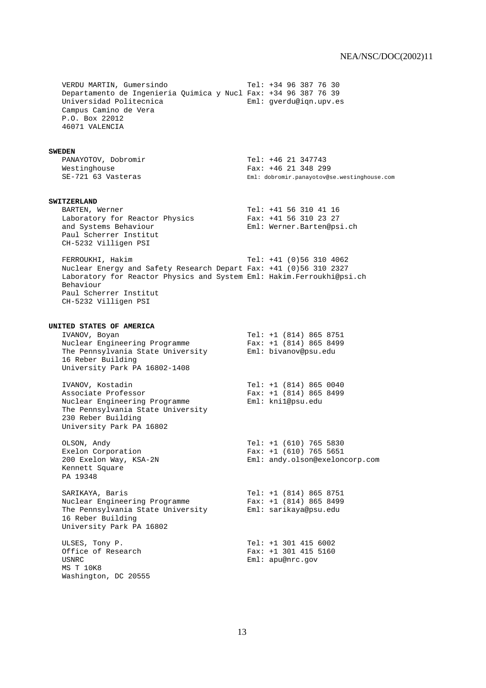VERDU MARTIN, Gumersindo  $Tel: +34 96 387 76 30$  Departamento de Ingenieria Quimica y Nucl Fax: +34 96 387 76 39 Universidad Politecnica Eml: gverdu@iqn.upv.es Campus Camino de Vera P.O. Box 22012 46071 VALENCIA **SWEDEN** PANAYOTOV, Dobromir Tel: +46 21 347743 Westinghouse<br>
SE-721 63 Vasteras<br>
Fal: dobromir.panayotov@g Eml: dobromir.panayotov@se.westinghouse.com **SWITZERLAND** BARTEN, Werner<br>Laboratory for Reactor Physics Fax: +41 56 310 23 27 Laboratory for Reactor Physics Fax: +41 56 310 23 27 and Systems Behaviour Eml: Werner.Barten@psi.ch Paul Scherrer Institut CH-5232 Villigen PSI FERROUKHI, Hakim Tel: +41 (0)56 310 4062 Nuclear Energy and Safety Research Depart Fax: +41 (0)56 310 2327 Laboratory for Reactor Physics and System Eml: Hakim.Ferroukhi@psi.ch Behaviour Paul Scherrer Institut CH-5232 Villigen PSI **UNITED STATES OF AMERICA** IVANOV, Boyan Tel: +1 (814) 865 8751 Nuclear Engineering Programme Fax: +1 (814) 865 8499 The Pennsylvania State University Eml: bivanov@psu.edu 16 Reber Building University Park PA 16802-1408 IVANOV, Kostadin Tel: +1 (814) 865 0040 Associate Professor Fax: +1 (814) 865 8499 Nuclear Engineering Programme Eml: kni1@psu.edu The Pennsylvania State University 230 Reber Building University Park PA 16802 OLSON, Andy<br>
Exelon Corporation<br>
Fax: +1 (610) 765 5651 Fax:  $+1$  (610) 765 5651 200 Exelon Way, KSA-2N Eml: andy.olson@exeloncorp.com Kennett Square PA 19348 SARIKAYA, Baris Tel: +1 (814) 865 8751 Nuclear Engineering Programme Fax: +1 (814) 865 8499 The Pennsylvania State University Eml: sarikaya@psu.edu 16 Reber Building University Park PA 16802 ULSES, Tony P.<br>
Office of Research<br>
Tel: +1 301 415 5160<br>
Fax: +1 301 415 5160 Office of Research USNRC Eml: apu@nrc.gov MS T 10K8 Washington, DC 20555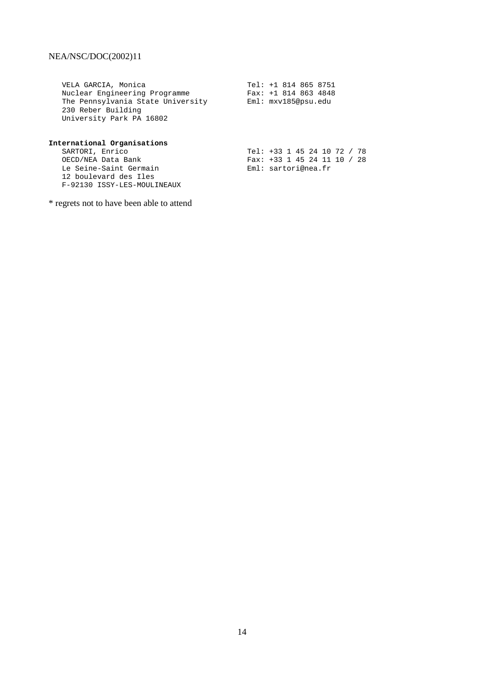VELA GARCIA, Monica Tel: +1 814 865 8751 Nuclear Engineering Programme Fax: +1 814 863 4848 The Pennsylvania State University Eml: mxv185@psu.edu 230 Reber Building University Park PA 16802

|  |  | SARTORI, Enrico | International Organisations<br>OECD/NEA Data Bank<br>Le Seine-Saint Germain<br>12 boulevard des Iles<br>F-92130 ISSY-LES-MOULINEAUX |  |  |  |  |  | Eml: sartori@nea.fr | Tel: +33 1 45 24 10 72 / 78<br>Fax: +33 1 45 24 11 10 / 28 |
|--|--|-----------------|-------------------------------------------------------------------------------------------------------------------------------------|--|--|--|--|--|---------------------|------------------------------------------------------------|

\* regrets not to have been able to attend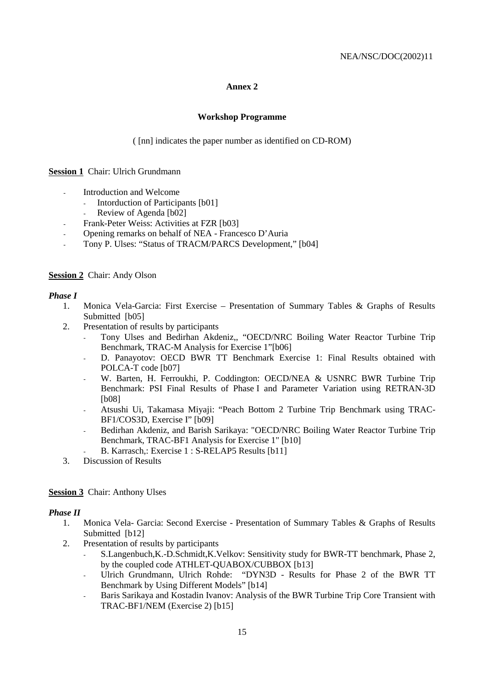## **Annex 2**

#### **Workshop Programme**

( [nn] indicates the paper number as identified on CD-ROM)

## **Session 1** Chair: Ulrich Grundmann

- Introduction and Welcome
	- Intorduction of Participants [b01]
	- Review of Agenda [b02]
	- Frank-Peter Weiss: Activities at FZR [b03]
- Opening remarks on behalf of NEA Francesco D'Auria
- Tony P. Ulses: "Status of TRACM/PARCS Development," [b04]

#### **Session 2** Chair: Andy Olson

#### *Phase I*

- 1. Monica Vela-Garcia: First Exercise Presentation of Summary Tables & Graphs of Results Submitted [b05]
- 2. Presentation of results by participants
	- Tony Ulses and Bedirhan Akdeniz,, "OECD/NRC Boiling Water Reactor Turbine Trip Benchmark, TRAC-M Analysis for Exercise 1"[b06]
	- D. Panayotov: OECD BWR TT Benchmark Exercise 1: Final Results obtained with POLCA-T code [b07]
	- W. Barten, H. Ferroukhi, P. Coddington: OECD/NEA & USNRC BWR Turbine Trip Benchmark: PSI Final Results of Phase I and Parameter Variation using RETRAN-3D [b08]
	- Atsushi Ui, Takamasa Miyaji: "Peach Bottom 2 Turbine Trip Benchmark using TRAC-BF1/COS3D, Exercise I" [b09]
	- Bedirhan Akdeniz, and Barish Sarikaya: "OECD/NRC Boiling Water Reactor Turbine Trip Benchmark, TRAC-BF1 Analysis for Exercise 1" [b10]
	- B. Karrasch,: Exercise 1 : S-RELAP5 Results [b11]
- 3. Discussion of Results

## **Session 3** Chair: Anthony Ulses

## *Phase II*

- 1. Monica Vela- Garcia: Second Exercise Presentation of Summary Tables & Graphs of Results Submitted [b12]
- 2. Presentation of results by participants
	- S.Langenbuch,K.-D.Schmidt,K.Velkov: Sensitivity study for BWR-TT benchmark, Phase 2, by the coupled code ATHLET-QUABOX/CUBBOX [b13]
	- Ulrich Grundmann, Ulrich Rohde: "DYN3D Results for Phase 2 of the BWR TT Benchmark by Using Different Models" [b14]
	- Baris Sarikaya and Kostadin Ivanov: Analysis of the BWR Turbine Trip Core Transient with TRAC-BF1/NEM (Exercise 2) [b15]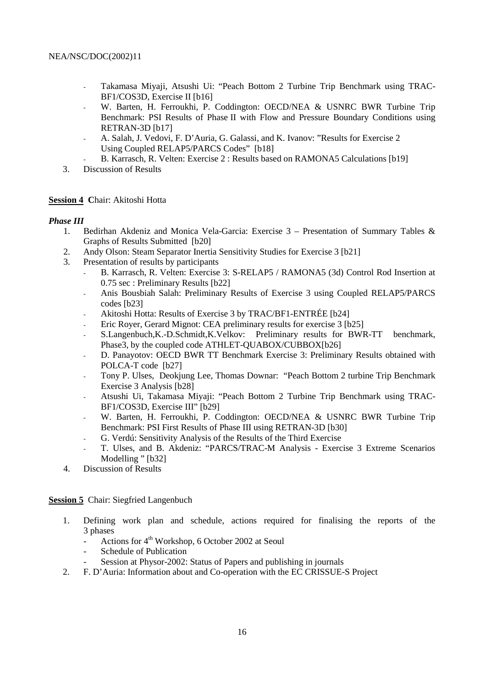- Takamasa Miyaji, Atsushi Ui: "Peach Bottom 2 Turbine Trip Benchmark using TRAC-BF1/COS3D, Exercise II [b16]
- W. Barten, H. Ferroukhi, P. Coddington: OECD/NEA & USNRC BWR Turbine Trip Benchmark: PSI Results of Phase II with Flow and Pressure Boundary Conditions using RETRAN-3D [b17]
- A. Salah, J. Vedovi, F. D'Auria, G. Galassi, and K. Ivanov: "Results for Exercise 2 Using Coupled RELAP5/PARCS Codes" [b18]
- B. Karrasch, R. Velten: Exercise 2 : Results based on RAMONA5 Calculations [b19]
- 3. Discussion of Results

## **Session 4 C**hair: Akitoshi Hotta

## *Phase III*

- 1. Bedirhan Akdeniz and Monica Vela-Garcia: Exercise 3 Presentation of Summary Tables & Graphs of Results Submitted [b20]
- 2. Andy Olson: Steam Separator Inertia Sensitivity Studies for Exercise 3 [b21]
- 3. Presentation of results by participants
	- B. Karrasch, R. Velten: Exercise 3: S-RELAP5 / RAMONA5 (3d) Control Rod Insertion at 0.75 sec : Preliminary Results [b22]
	- Anis Bousbiah Salah: Preliminary Results of Exercise 3 using Coupled RELAP5/PARCS codes [b23]
	- Akitoshi Hotta: Results of Exercise 3 by TRAC/BF1-ENTRÉE [b24]
	- Eric Royer, Gerard Mignot: CEA preliminary results for exercise 3 [b25]
	- S.Langenbuch,K.-D.Schmidt,K.Velkov: Preliminary results for BWR-TT benchmark, Phase3, by the coupled code ATHLET-QUABOX/CUBBOX[b26]
	- D. Panayotov: OECD BWR TT Benchmark Exercise 3: Preliminary Results obtained with POLCA-T code [b27]
	- Tony P. Ulses, Deokjung Lee, Thomas Downar: "Peach Bottom 2 turbine Trip Benchmark Exercise 3 Analysis [b28]
	- Atsushi Ui, Takamasa Miyaji: "Peach Bottom 2 Turbine Trip Benchmark using TRAC-BF1/COS3D, Exercise III" [b29]
	- W. Barten, H. Ferroukhi, P. Coddington: OECD/NEA & USNRC BWR Turbine Trip Benchmark: PSI First Results of Phase III using RETRAN-3D [b30]
	- G. Verdú: Sensitivity Analysis of the Results of the Third Exercise
	- T. Ulses, and B. Akdeniz: "PARCS/TRAC-M Analysis Exercise 3 Extreme Scenarios Modelling " [b32]
- 4. Discussion of Results

**Session 5** Chair: Siegfried Langenbuch

- 1. Defining work plan and schedule, actions required for finalising the reports of the 3 phases
	- Actions for  $4<sup>th</sup>$  Workshop, 6 October 2002 at Seoul
	- Schedule of Publication
	- Session at Physor-2002: Status of Papers and publishing in journals
- 2. F. D'Auria: Information about and Co-operation with the EC CRISSUE-S Project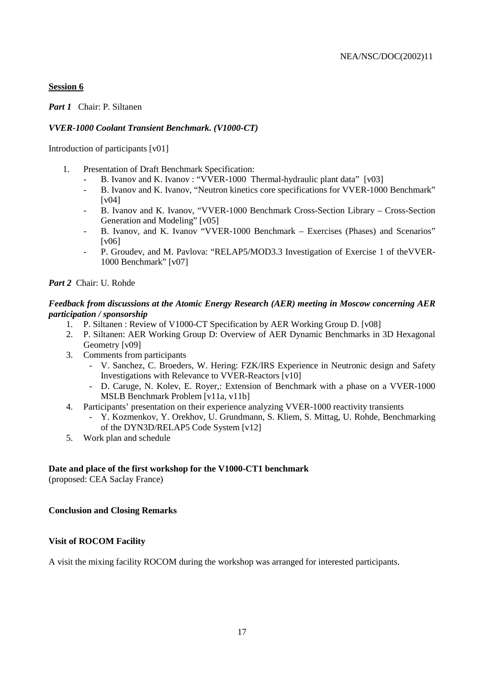## **Session 6**

*Part 1* Chair: P. Siltanen

## *VVER-1000 Coolant Transient Benchmark. (V1000-CT)*

Introduction of participants [v01]

- 1. Presentation of Draft Benchmark Specification:
	- B. Ivanov and K. Ivanov : "VVER-1000 Thermal-hydraulic plant data" [v03]
	- B. Ivanov and K. Ivanov, "Neutron kinetics core specifications for VVER-1000 Benchmark" [v04]
	- B. Ivanov and K. Ivanov, "VVER-1000 Benchmark Cross-Section Library Cross-Section Generation and Modeling" [v05]
	- B. Ivanov, and K. Ivanov "VVER-1000 Benchmark Exercises (Phases) and Scenarios" [v06]
	- P. Groudev, and M. Pavlova: "RELAP5/MOD3.3 Investigation of Exercise 1 of the VVER-1000 Benchmark" [v07]

*Part 2* Chair: U. Rohde

## *Feedback from discussions at the Atomic Energy Research (AER) meeting in Moscow concerning AER participation / sponsorship*

- 1. P. Siltanen : Review of V1000-CT Specification by AER Working Group D. [v08]
- 2. P. Siltanen: AER Working Group D: Overview of AER Dynamic Benchmarks in 3D Hexagonal Geometry [v09]
- 3. Comments from participants
	- V. Sanchez, C. Broeders, W. Hering: FZK/IRS Experience in Neutronic design and Safety Investigations with Relevance to VVER-Reactors [v10]
	- D. Caruge, N. Kolev, E. Royer,: Extension of Benchmark with a phase on a VVER-1000 MSLB Benchmark Problem [v11a, v11b]
- 4. Participants' presentation on their experience analyzing VVER-1000 reactivity transients
	- Y. Kozmenkov, Y. Orekhov, U. Grundmann, S. Kliem, S. Mittag, U. Rohde, Benchmarking of the DYN3D/RELAP5 Code System [v12]
- 5. Work plan and schedule

## **Date and place of the first workshop for the V1000-CT1 benchmark**

(proposed: CEA Saclay France)

## **Conclusion and Closing Remarks**

## **Visit of ROCOM Facility**

A visit the mixing facility ROCOM during the workshop was arranged for interested participants.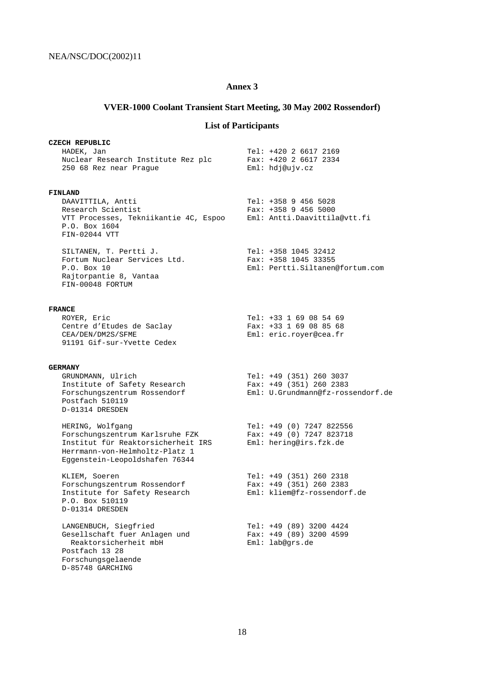## **Annex 3**

# **VVER-1000 Coolant Transient Start Meeting, 30 May 2002 Rossendorf)**

# **List of Participants**

| <b>CZECH REPUBLIC</b><br>HADEK, Jan<br>Nuclear Research Institute Rez plc<br>250 68 Rez near Prague                                                           | Tel: +420 2 6617 2169<br>Fax: $+420$ 2 6617 2334<br>Eml: hdj@ujv.cz                       |
|---------------------------------------------------------------------------------------------------------------------------------------------------------------|-------------------------------------------------------------------------------------------|
| <b>FINLAND</b><br>DAAVITTILA, Antti<br>Research Scientist<br>VTT Processes, Tekniikantie 4C, Espoo<br>P.O. Box 1604<br>FIN-02044 VTT                          | Tel: +358 9 456 5028<br>$Fax: +358 9 456 5000$<br>Eml: Antti.Daavittila@vtt.fi            |
| SILTANEN, T. Pertti J.<br>Fortum Nuclear Services Ltd.<br>P.O. Box 10<br>Rajtorpantie 8, Vantaa<br>FIN-00048 FORTUM                                           | Tel: +358 1045 32412<br>Fax: +358 1045 33355<br>Eml: Pertti.Siltanen@fortum.com           |
| <b>FRANCE</b><br>ROYER, Eric<br>Centre d'Etudes de Saclay<br>CEA/DEN/DM2S/SFME<br>91191 Gif-sur-Yvette Cedex                                                  | Tel: +33 1 69 08 54 69<br>Fax: $+33$ 1 69 08 85 68<br>Eml: eric.royer@cea.fr              |
| <b>GERMANY</b><br>GRUNDMANN, Ulrich<br>Institute of Safety Research<br>Forschungszentrum Rossendorf<br>Postfach 510119<br>D-01314 DRESDEN                     | Tel: +49 (351) 260 3037<br>Fax: $+49$ (351) 260 2383<br>Eml: U.Grundmann@fz-rossendorf.de |
| HERING, Wolfgang<br>Forschungszentrum Karlsruhe FZK<br>Institut für Reaktorsicherheit IRS<br>Herrmann-von-Helmholtz-Platz 1<br>Eqqenstein-Leopoldshafen 76344 | Tel: +49 (0) 7247 822556<br>Fax: +49 (0) 7247 823718<br>Eml: hering@irs.fzk.de            |
| KLIEM, Soeren<br>Forschungszentrum Rossendorf<br>Institute for Safety Research<br>P.O. Box 510119<br>D-01314 DRESDEN                                          | Tel: +49 (351) 260 2318<br>Fax: +49 (351) 260 2383<br>Eml: kliem@fz-rossendorf.de         |
| LANGENBUCH, Siegfried<br>Gesellschaft fuer Anlagen und<br>Reaktorsicherheit mbH<br>Postfach 13 28<br>Forschungsgelaende<br>D-85748 GARCHING                   | Tel: +49 (89) 3200 4424<br>Fax: $+49$ (89) 3200 4599<br>Eml: lab@qrs.de                   |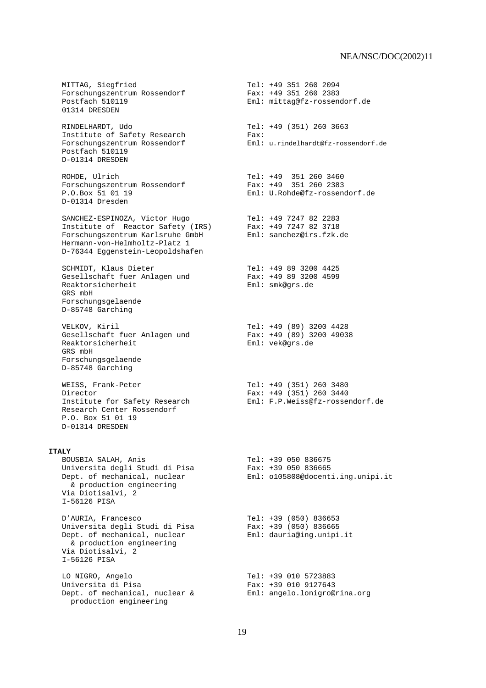MITTAG, Siegfried<br>Forschungszentrum Rossendorf (Fax: +49 351 260 2383 Forschungszentrum Rossendorf<br>Postfach 510119 Eml: mittag@fz-rossendorf.de 01314 DRESDEN RINDELHARDT, Udo Tel: +49 (351) 260 3663 Institute of Safety Research Fax:<br>Forgabungsschuum Bossenderf Forschungszentrum Rossendorf Eml: u.rindelhardt@fz-rossendorf.de Postfach 510119 D-01314 DRESDEN ROHDE, Ulrich Tel: +49 351 260 3460 Forschungszentrum Rossendorf Fax: +49 351 260 2383 P.O.Box 51 01 19 Eml: U.Rohde@fz-rossendorf.de D-01314 Dresden SANCHEZ-ESPINOZA, Victor Hugo Tel: +49 7247 82 2283 Institute of Reactor Safety (IRS) Fax: +49 7247 82 3718 Forschungszentrum Karlsruhe GmbH Eml: sanchez@irs.fzk.de Hermann-von-Helmholtz-Platz 1 D-76344 Eggenstein-Leopoldshafen SCHMIDT, Klaus Dieter Tel: +49 89 3200 4425 Gesellschaft fuer Anlagen und Fax: +49 89 3200<br>Reaktorsicherheit Fami: smk@grs.de Reaktorsicherheit GRS mbH Forschungsgelaende D-85748 Garching VELKOV, Kiril Tel: +49 (89) 3200 4428 Gesellschaft fuer Anlagen und Fax: +49 (89) 3<br>Reaktorsicherheit Fami: vek@grs.de Reaktorsicherheit GRS mbH Forschungsgelaende D-85748 Garching WEISS, Frank-Peter Tel: +49 (351) 260 3480 Director<br>
Fax: +49 (351) 260 3440<br>
Institute for Safety Research<br>
Eml: F.P.Weiss@fz-rosser Institute for Safety Research Eml: F.P.Weiss@fz-rossendorf.de Research Center Rossendorf P.O. Box 51 01 19 D-01314 DRESDEN **ITALY** BOUSBIA SALAH, Anis Tel: +39 050 836675 Universita degli Studi di Pisa Fax: +39 050 836665 Dept. of mechanical, nuclear Eml: o105808@docenti.ing.unipi.it & production engineering Via Diotisalvi, 2 I-56126 PISA D'AURIA, Francesco Tel: +39 (050) 836653 Universita degli Studi di Pisa Fax: +39 (050) 836665 Dept. of mechanical, nuclear Eml: dauria@ing.unipi.it & production engineering Via Diotisalvi, 2 I-56126 PISA LO NIGRO, Angelo<br>
Universita di Pisa<br>
Tax: +39 010 9127643 Fax: +39 010 9127643 Dept. of mechanical, nuclear & Eml: angelo.lonigro@rina.org production engineering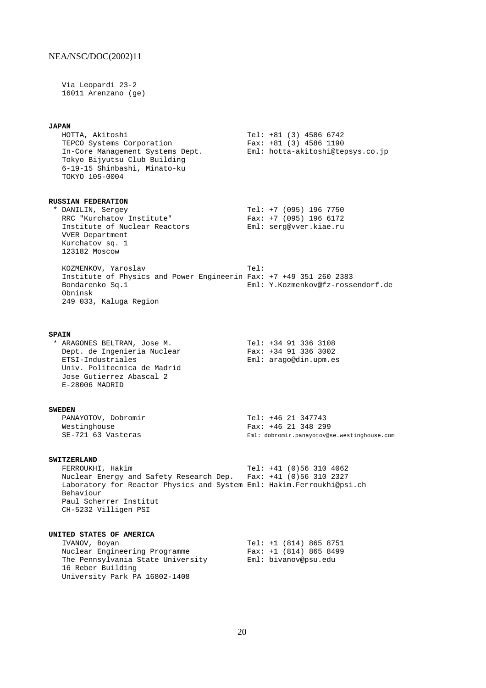Via Leopardi 23-2 16011 Arenzano (ge)

#### **JAPAN**

 HOTTA, Akitoshi Tel: +81 (3) 4586 6742 TEPCO Systems Corporation Fax: +81 (3) 4586 1190 In-Core Management Systems Dept. Eml: hotta-akitoshi@tepsys.co.jp Tokyo Bijyutsu Club Building 6-19-15 Shinbashi, Minato-ku TOKYO 105-0004 **RUSSIAN FEDERATION** \* DANILIN, Sergey Tel: +7 (095) 196 7750 RRC "Kurchatov Institute" Fax: +7 (095) 196 6172 Institute of Nuclear Reactors Eml: serg@vver.kiae.ru VVER Department Kurchatov sq. 1 123182 Moscow KOZMENKOV, Yaroslav Tel: Institute of Physics and Power Engineerin Fax: +7 +49 351 260 2383 Bondarenko Sq.1 Eml: Y.Kozmenkov@fz-rossendorf.de Obninsk 249 033, Kaluga Region **SPAIN** \* ARAGONES BELTRAN, Jose M. Tel: +34 91 336 3108 Dept. de Ingenieria Nuclear Fax: +34 91 336 3002 ETSI-Industriales Eml: arago@din.upm.es Univ. Politecnica de Madrid Jose Gutierrez Abascal 2 E-28006 MADRID **SWEDEN** PANAYOTOV, Dobromir Tel: +46 21 347743 Fax: +46 21 348 299

**SWITZERLAND**<br>FERROUKHI, Hakim Tel: +41 (0)56 310 4062 Nuclear Energy and Safety Research Dep. Fax: +41 (0)56 310 2327 Laboratory for Reactor Physics and System Eml: Hakim.Ferroukhi@psi.ch Behaviour Paul Scherrer Institut CH-5232 Villigen PSI

SE-721 63 Vasteras Eml: dobromir.panayotov@se.westinghouse.com

#### **UNITED STATES OF AMERICA**

| IVANOV, Boyan                     | Tel: +1 (814) 865 8751   |
|-----------------------------------|--------------------------|
| Nuclear Engineering Programme     | Fax: $+1$ (814) 865 8499 |
| The Pennsylvania State University | Eml: bivanov@psu.edu     |
| 16 Reber Building                 |                          |
| University Park PA 16802-1408     |                          |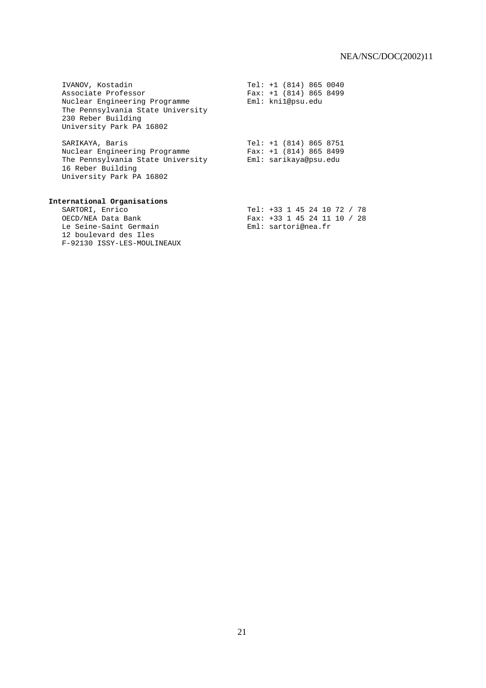| IVANOV, Kostadin                                                                                                     | Tel: $+1$ (814) 865 0040    |
|----------------------------------------------------------------------------------------------------------------------|-----------------------------|
| Associate Professor                                                                                                  | Fax: $+1$ (814) 865 8499    |
| Nuclear Engineering Programme<br>The Pennsylvania State University<br>230 Reber Building<br>University Park PA 16802 | Eml: kni1@psu.edu           |
| SARIKAYA, Baris                                                                                                      | Tel: $+1$ (814) 865 8751    |
| Nuclear Engineering Programme                                                                                        | Fax: $+1$ (814) 865 8499    |
| The Pennsylvania State University<br>16 Reber Building<br>University Park PA 16802                                   | Eml: sarikaya@psu.edu       |
| International Organisations                                                                                          |                             |
| SARTORI, Enrico                                                                                                      | Tel: +33 1 45 24 10 72 / 78 |
| OECD/NEA Data Bank                                                                                                   | Fax: +33 1 45 24 11 10 / 28 |
| Le Seine-Saint Germain<br>12 boulevard des Iles<br>F-92130 ISSY-LES-MOULINEAUX                                       | Eml: sartori@nea.fr         |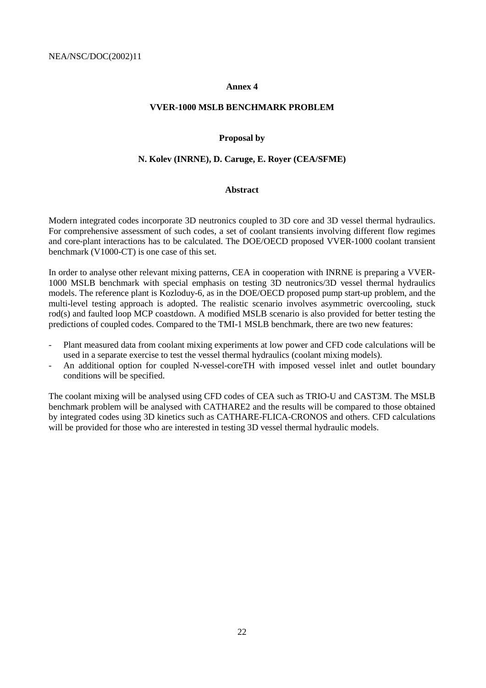#### **Annex 4**

## **VVER-1000 MSLB BENCHMARK PROBLEM**

#### **Proposal by**

## **N. Kolev (INRNE), D. Caruge, E. Royer (CEA/SFME)**

#### **Abstract**

Modern integrated codes incorporate 3D neutronics coupled to 3D core and 3D vessel thermal hydraulics. For comprehensive assessment of such codes, a set of coolant transients involving different flow regimes and core-plant interactions has to be calculated. The DOE/OECD proposed VVER-1000 coolant transient benchmark (V1000-CT) is one case of this set.

In order to analyse other relevant mixing patterns, CEA in cooperation with INRNE is preparing a VVER-1000 MSLB benchmark with special emphasis on testing 3D neutronics/3D vessel thermal hydraulics models. The reference plant is Kozloduy-6, as in the DOE/OECD proposed pump start-up problem, and the multi-level testing approach is adopted. The realistic scenario involves asymmetric overcooling, stuck rod(s) and faulted loop MCP coastdown. A modified MSLB scenario is also provided for better testing the predictions of coupled codes. Compared to the TMI-1 MSLB benchmark, there are two new features:

- Plant measured data from coolant mixing experiments at low power and CFD code calculations will be used in a separate exercise to test the vessel thermal hydraulics (coolant mixing models).
- An additional option for coupled N-vessel-coreTH with imposed vessel inlet and outlet boundary conditions will be specified.

The coolant mixing will be analysed using CFD codes of CEA such as TRIO-U and CAST3M. The MSLB benchmark problem will be analysed with CATHARE2 and the results will be compared to those obtained by integrated codes using 3D kinetics such as CATHARE-FLICA-CRONOS and others. CFD calculations will be provided for those who are interested in testing 3D vessel thermal hydraulic models.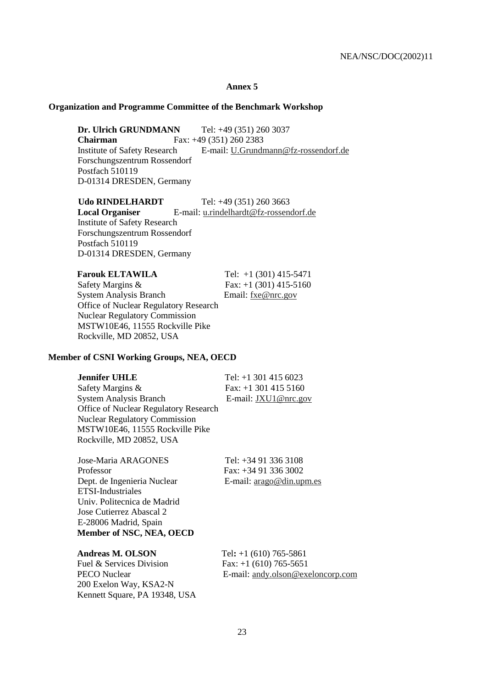#### **Annex 5**

### **Organization and Programme Committee of the Benchmark Workshop**

**Dr. Ulrich GRUNDMANN** Tel: +49 (351) 260 3037 **Chairman** Fax: +49 (351) 260 2383 Institute of Safety Research E-mail: U.Grundmann@fz-rossendorf.de Forschungszentrum Rossendorf Postfach 510119 D-01314 DRESDEN, Germany

**Udo RINDELHARDT** Tel: +49 (351) 260 3663 Local Organiser E-mail: u.rindelhardt@fz-rossendorf.de Institute of Safety Research Forschungszentrum Rossendorf Postfach 510119 D-01314 DRESDEN, Germany

| <b>Farouk ELTAWILA</b>                | Tel: $+1$ (301) 415-5471 |
|---------------------------------------|--------------------------|
| Safety Margins &                      | Fax: $+1$ (301) 415-5160 |
| <b>System Analysis Branch</b>         | Email: fxe@nrc.gov       |
| Office of Nuclear Regulatory Research |                          |
| <b>Nuclear Regulatory Commission</b>  |                          |
| MSTW10E46, 11555 Rockville Pike       |                          |
| Rockville, MD 20852, USA              |                          |
|                                       |                          |

#### **Member of CSNI Working Groups, NEA, OECD**

| <b>Jennifer UHLE</b>                         | Tel: $+1$ 301 415 6023 |
|----------------------------------------------|------------------------|
| Safety Margins &                             | Fax: $+1$ 301 415 5160 |
| <b>System Analysis Branch</b>                | E-mail: JXU1@nrc.gov   |
| <b>Office of Nuclear Regulatory Research</b> |                        |
| <b>Nuclear Regulatory Commission</b>         |                        |
| MSTW10E46, 11555 Rockville Pike              |                        |

Jose-Maria ARAGONES Tel: +34 91 336 3108 Professor Fax: +34 91 336 3002 Dept. de Ingenieria Nuclear E-mail: arago@din.upm.es ETSI-Industriales Univ. Politecnica de Madrid Jose Cutierrez Abascal 2 E-28006 Madrid, Spain **Member of NSC, NEA, OECD**

Rockville, MD 20852, USA

**Andreas M. OLSON Tel**:  $+1$  (610) 765-5861

Fuel & Services Division Fax:  $+1$  (610) 765-5651 200 Exelon Way, KSA2-N Kennett Square, PA 19348, USA

PECO Nuclear E-mail: andy.olson@exeloncorp.com